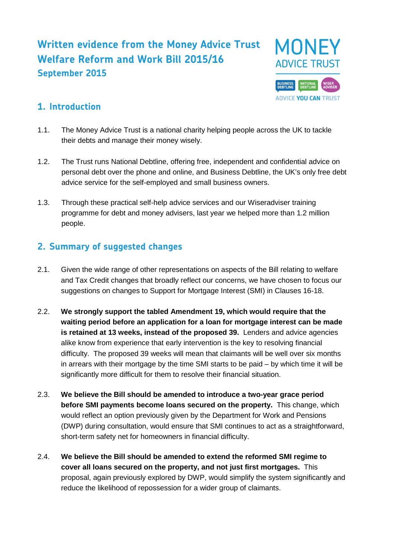# **Written evidence from the Money Advice Trust Welfare Reform and Work Bill 2015/16 September 2015**



### **1. Introduction**

- 1.1. The Money Advice Trust is a national charity helping people across the UK to tackle their debts and manage their money wisely.
- 1.2. The Trust runs National Debtline, offering free, independent and confidential advice on personal debt over the phone and online, and Business Debtline, the UK's only free debt advice service for the self-employed and small business owners.
- 1.3. Through these practical self-help advice services and our Wiseradviser training programme for debt and money advisers, last year we helped more than 1.2 million people.

### **2. Summary of suggested changes**

- 2.1. Given the wide range of other representations on aspects of the Bill relating to welfare and Tax Credit changes that broadly reflect our concerns, we have chosen to focus our suggestions on changes to Support for Mortgage Interest (SMI) in Clauses 16-18.
- 2.2. **We strongly support the tabled Amendment 19, which would require that the waiting period before an application for a loan for mortgage interest can be made is retained at 13 weeks, instead of the proposed 39.** Lenders and advice agencies alike know from experience that early intervention is the key to resolving financial difficulty. The proposed 39 weeks will mean that claimants will be well over six months in arrears with their mortgage by the time SMI starts to be paid – by which time it will be significantly more difficult for them to resolve their financial situation.
- 2.3. **We believe the Bill should be amended to introduce a two-year grace period before SMI payments become loans secured on the property.** This change, which would reflect an option previously given by the Department for Work and Pensions (DWP) during consultation, would ensure that SMI continues to act as a straightforward, short-term safety net for homeowners in financial difficulty.
- 2.4. **We believe the Bill should be amended to extend the reformed SMI regime to cover all loans secured on the property, and not just first mortgages.** This proposal, again previously explored by DWP, would simplify the system significantly and reduce the likelihood of repossession for a wider group of claimants.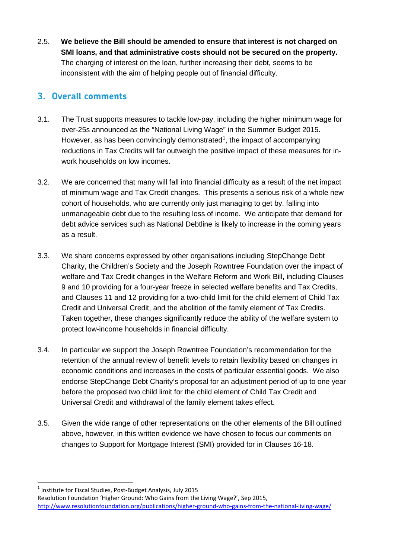2.5. **We believe the Bill should be amended to ensure that interest is not charged on SMI loans, and that administrative costs should not be secured on the property.** The charging of interest on the loan, further increasing their debt, seems to be inconsistent with the aim of helping people out of financial difficulty.

### **3. Overall comments**

- 3.1. The Trust supports measures to tackle low-pay, including the higher minimum wage for over-25s announced as the "National Living Wage" in the Summer Budget 2015. However, as has been convincingly demonstrated<sup>[1](#page-1-0)</sup>, the impact of accompanying reductions in Tax Credits will far outweigh the positive impact of these measures for inwork households on low incomes.
- 3.2. We are concerned that many will fall into financial difficulty as a result of the net impact of minimum wage and Tax Credit changes. This presents a serious risk of a whole new cohort of households, who are currently only just managing to get by, falling into unmanageable debt due to the resulting loss of income. We anticipate that demand for debt advice services such as National Debtline is likely to increase in the coming years as a result.
- 3.3. We share concerns expressed by other organisations including StepChange Debt Charity, the Children's Society and the Joseph Rowntree Foundation over the impact of welfare and Tax Credit changes in the Welfare Reform and Work Bill, including Clauses 9 and 10 providing for a four-year freeze in selected welfare benefits and Tax Credits, and Clauses 11 and 12 providing for a two-child limit for the child element of Child Tax Credit and Universal Credit, and the abolition of the family element of Tax Credits. Taken together, these changes significantly reduce the ability of the welfare system to protect low-income households in financial difficulty.
- 3.4. In particular we support the Joseph Rowntree Foundation's recommendation for the retention of the annual review of benefit levels to retain flexibility based on changes in economic conditions and increases in the costs of particular essential goods. We also endorse StepChange Debt Charity's proposal for an adjustment period of up to one year before the proposed two child limit for the child element of Child Tax Credit and Universal Credit and withdrawal of the family element takes effect.
- 3.5. Given the wide range of other representations on the other elements of the Bill outlined above, however, in this written evidence we have chosen to focus our comments on changes to Support for Mortgage Interest (SMI) provided for in Clauses 16-18.

<span id="page-1-0"></span> $1$  Institute for Fiscal Studies, Post-Budget Analysis, July 2015

Resolution Foundation 'Higher Ground: Who Gains from the Living Wage?', Sep 2015, <http://www.resolutionfoundation.org/publications/higher-ground-who-gains-from-the-national-living-wage/>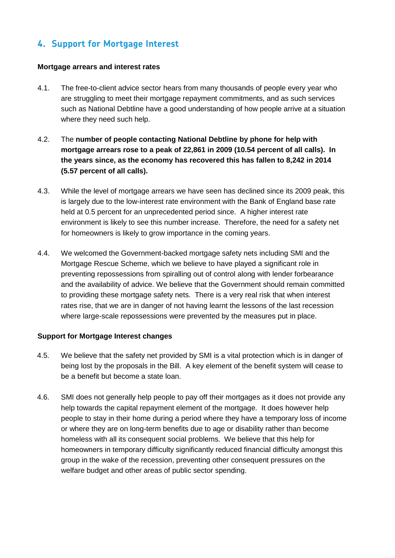## **4. Support for Mortgage Interest**

#### **Mortgage arrears and interest rates**

- 4.1. The free-to-client advice sector hears from many thousands of people every year who are struggling to meet their mortgage repayment commitments, and as such services such as National Debtline have a good understanding of how people arrive at a situation where they need such help.
- 4.2. The **number of people contacting National Debtline by phone for help with mortgage arrears rose to a peak of 22,861 in 2009 (10.54 percent of all calls). In the years since, as the economy has recovered this has fallen to 8,242 in 2014 (5.57 percent of all calls).**
- 4.3. While the level of mortgage arrears we have seen has declined since its 2009 peak, this is largely due to the low-interest rate environment with the Bank of England base rate held at 0.5 percent for an unprecedented period since. A higher interest rate environment is likely to see this number increase. Therefore, the need for a safety net for homeowners is likely to grow importance in the coming years.
- 4.4. We welcomed the Government-backed mortgage safety nets including SMI and the Mortgage Rescue Scheme, which we believe to have played a significant role in preventing repossessions from spiralling out of control along with lender forbearance and the availability of advice. We believe that the Government should remain committed to providing these mortgage safety nets. There is a very real risk that when interest rates rise, that we are in danger of not having learnt the lessons of the last recession where large-scale repossessions were prevented by the measures put in place.

#### **Support for Mortgage Interest changes**

- 4.5. We believe that the safety net provided by SMI is a vital protection which is in danger of being lost by the proposals in the Bill. A key element of the benefit system will cease to be a benefit but become a state loan.
- 4.6. SMI does not generally help people to pay off their mortgages as it does not provide any help towards the capital repayment element of the mortgage. It does however help people to stay in their home during a period where they have a temporary loss of income or where they are on long-term benefits due to age or disability rather than become homeless with all its consequent social problems. We believe that this help for homeowners in temporary difficulty significantly reduced financial difficulty amongst this group in the wake of the recession, preventing other consequent pressures on the welfare budget and other areas of public sector spending.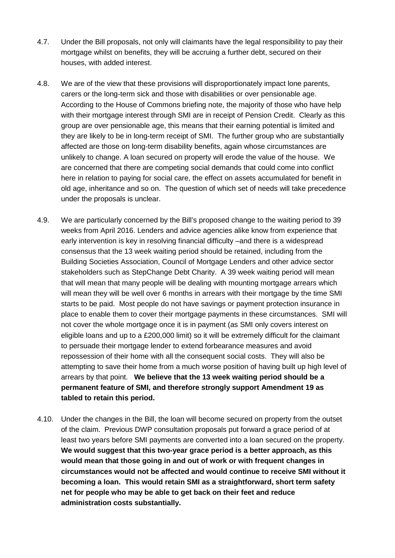- 4.7. Under the Bill proposals, not only will claimants have the legal responsibility to pay their mortgage whilst on benefits, they will be accruing a further debt, secured on their houses, with added interest.
- 4.8. We are of the view that these provisions will disproportionately impact lone parents, carers or the long-term sick and those with disabilities or over pensionable age. According to the House of Commons briefing note, the majority of those who have help with their mortgage interest through SMI are in receipt of Pension Credit. Clearly as this group are over pensionable age, this means that their earning potential is limited and they are likely to be in long-term receipt of SMI. The further group who are substantially affected are those on long-term disability benefits, again whose circumstances are unlikely to change. A loan secured on property will erode the value of the house. We are concerned that there are competing social demands that could come into conflict here in relation to paying for social care, the effect on assets accumulated for benefit in old age, inheritance and so on. The question of which set of needs will take precedence under the proposals is unclear.
- 4.9. We are particularly concerned by the Bill's proposed change to the waiting period to 39 weeks from April 2016. Lenders and advice agencies alike know from experience that early intervention is key in resolving financial difficulty –and there is a widespread consensus that the 13 week waiting period should be retained, including from the Building Societies Association, Council of Mortgage Lenders and other advice sector stakeholders such as StepChange Debt Charity. A 39 week waiting period will mean that will mean that many people will be dealing with mounting mortgage arrears which will mean they will be well over 6 months in arrears with their mortgage by the time SMI starts to be paid. Most people do not have savings or payment protection insurance in place to enable them to cover their mortgage payments in these circumstances. SMI will not cover the whole mortgage once it is in payment (as SMI only covers interest on eligible loans and up to a £200,000 limit) so it will be extremely difficult for the claimant to persuade their mortgage lender to extend forbearance measures and avoid repossession of their home with all the consequent social costs. They will also be attempting to save their home from a much worse position of having built up high level of arrears by that point. **We believe that the 13 week waiting period should be a permanent feature of SMI, and therefore strongly support Amendment 19 as tabled to retain this period.**
- 4.10. Under the changes in the Bill, the loan will become secured on property from the outset of the claim. Previous DWP consultation proposals put forward a grace period of at least two years before SMI payments are converted into a loan secured on the property. **We would suggest that this two-year grace period is a better approach, as this would mean that those going in and out of work or with frequent changes in circumstances would not be affected and would continue to receive SMI without it becoming a loan. This would retain SMI as a straightforward, short term safety net for people who may be able to get back on their feet and reduce administration costs substantially.**